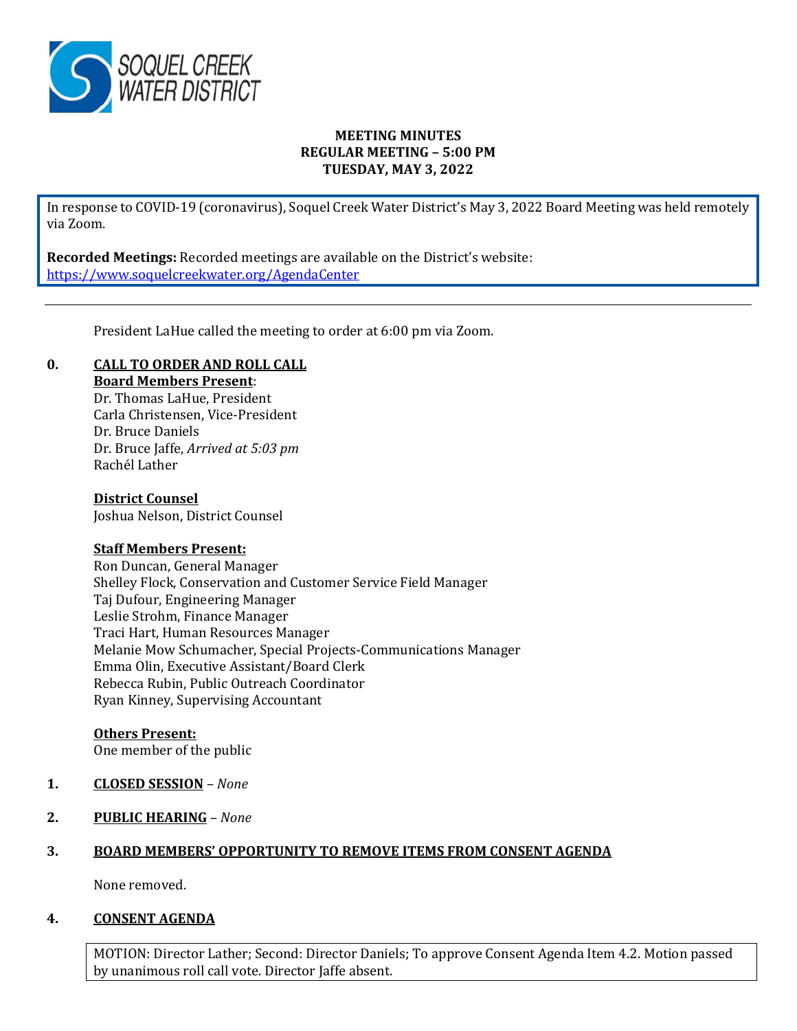

# **MEETING MINUTES REGULAR MEETING – 5:00 PM TUESDAY, MAY 3, 2022**

In response to COVID-19 (coronavirus), Soquel Creek Water District's May 3, 2022 Board Meeting was held remotely via Zoom.

**Recorded Meetings:** Recorded meetings are available on the District's website: <https://www.soquelcreekwater.org/AgendaCenter>

President LaHue called the meeting to order at 6:00 pm via Zoom.

# **0. CALL TO ORDER AND ROLL CALL**

**Board Members Present**:

Dr. Thomas LaHue, President Carla Christensen, Vice-President Dr. Bruce Daniels Dr. Bruce Jaffe, *Arrived at 5:03 pm* Rachél Lather

## **District Counsel**

Joshua Nelson, District Counsel

## **Staff Members Present:**

Ron Duncan, General Manager Shelley Flock, Conservation and Customer Service Field Manager Taj Dufour, Engineering Manager Leslie Strohm, Finance Manager Traci Hart, Human Resources Manager Melanie Mow Schumacher, Special Projects-Communications Manager Emma Olin, Executive Assistant/Board Clerk Rebecca Rubin, Public Outreach Coordinator Ryan Kinney, Supervising Accountant

## **Others Present:**

One member of the public

## **1. CLOSED SESSION** *– None*

**2. PUBLIC HEARING** *– None* 

# **3. BOARD MEMBERS' OPPORTUNITY TO REMOVE ITEMS FROM CONSENT AGENDA**

None removed.

## **4. CONSENT AGENDA**

MOTION: Director Lather; Second: Director Daniels; To approve Consent Agenda Item 4.2. Motion passed by unanimous roll call vote. Director Jaffe absent.